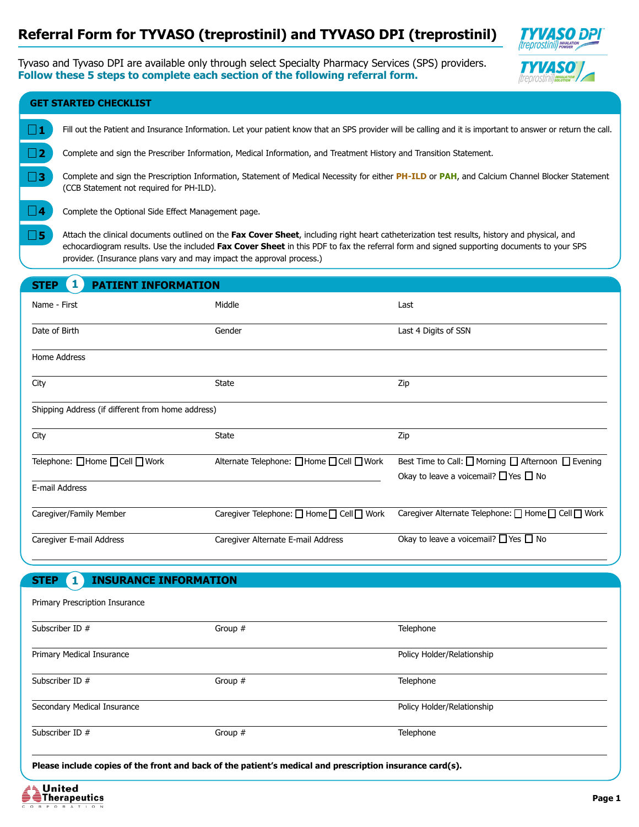# **Referral Form for TYVASO (treprostinil) and TYVASO DPI (treprostinil)**



Tyvaso and Tyvaso DPI are available only through select Specialty Pharmacy Services (SPS) providers. **Follow these 5 steps to complete each section of the following referral form.**



| <b>GET STARTED CHECKLIST</b>                            |                                                                                                                                                                                                                                                                                                                                                                    |                                                                                                                                                |  |  |
|---------------------------------------------------------|--------------------------------------------------------------------------------------------------------------------------------------------------------------------------------------------------------------------------------------------------------------------------------------------------------------------------------------------------------------------|------------------------------------------------------------------------------------------------------------------------------------------------|--|--|
| $\Box$ 1                                                | Fill out the Patient and Insurance Information. Let your patient know that an SPS provider will be calling and it is important to answer or return the call.                                                                                                                                                                                                       |                                                                                                                                                |  |  |
| $\square$ 2                                             | Complete and sign the Prescriber Information, Medical Information, and Treatment History and Transition Statement.                                                                                                                                                                                                                                                 |                                                                                                                                                |  |  |
| $\square$ 3<br>(CCB Statement not required for PH-ILD). |                                                                                                                                                                                                                                                                                                                                                                    | Complete and sign the Prescription Information, Statement of Medical Necessity for either PH-ILD or PAH, and Calcium Channel Blocker Statement |  |  |
| 4<br>Complete the Optional Side Effect Management page. |                                                                                                                                                                                                                                                                                                                                                                    |                                                                                                                                                |  |  |
| $\square$ 5                                             | Attach the clinical documents outlined on the Fax Cover Sheet, including right heart catheterization test results, history and physical, and<br>echocardiogram results. Use the included Fax Cover Sheet in this PDF to fax the referral form and signed supporting documents to your SPS<br>provider. (Insurance plans vary and may impact the approval process.) |                                                                                                                                                |  |  |
| 1<br><b>PATIENT INFORMATION</b><br><b>STEP</b>          |                                                                                                                                                                                                                                                                                                                                                                    |                                                                                                                                                |  |  |
| Name - First                                            | Middle                                                                                                                                                                                                                                                                                                                                                             | Last                                                                                                                                           |  |  |
| Date of Birth                                           | Gender                                                                                                                                                                                                                                                                                                                                                             | Last 4 Digits of SSN                                                                                                                           |  |  |
| Home Address                                            |                                                                                                                                                                                                                                                                                                                                                                    |                                                                                                                                                |  |  |
| City                                                    | <b>State</b><br>$ \blacktriangledown $                                                                                                                                                                                                                                                                                                                             | Zip                                                                                                                                            |  |  |
| Shipping Address (if different from home address)       |                                                                                                                                                                                                                                                                                                                                                                    |                                                                                                                                                |  |  |
| City                                                    | <b>State</b><br>$\vert \vert$                                                                                                                                                                                                                                                                                                                                      | Zip                                                                                                                                            |  |  |
| Telephone: □Home □ Cell □ Work                          | Alternate Telephone: □Home □ Cell □ Work                                                                                                                                                                                                                                                                                                                           | Best Time to Call: □ Morning □ Afternoon □ Evening<br>Okay to leave a voicemail? $\Box$ Yes $\Box$ No                                          |  |  |
| E-mail Address                                          |                                                                                                                                                                                                                                                                                                                                                                    |                                                                                                                                                |  |  |
| Caregiver/Family Member                                 | Caregiver Telephone: □ Home □ Cell □ Work                                                                                                                                                                                                                                                                                                                          | Caregiver Alternate Telephone: □ Home □ Cell □ Work                                                                                            |  |  |
| Caregiver E-mail Address                                | Caregiver Alternate E-mail Address                                                                                                                                                                                                                                                                                                                                 | Okay to leave a voicemail? $\Box$ Yes $\Box$ No                                                                                                |  |  |
| <b>INSURANCE INFORMATION</b><br><b>STEP</b>             |                                                                                                                                                                                                                                                                                                                                                                    |                                                                                                                                                |  |  |
| Primary Prescription Insurance                          |                                                                                                                                                                                                                                                                                                                                                                    |                                                                                                                                                |  |  |
| Subscriber ID #                                         | Group #                                                                                                                                                                                                                                                                                                                                                            | Telephone                                                                                                                                      |  |  |
| Primary Medical Insurance                               |                                                                                                                                                                                                                                                                                                                                                                    | Policy Holder/Relationship                                                                                                                     |  |  |
| Subscriber ID #                                         | Group #                                                                                                                                                                                                                                                                                                                                                            | Telephone                                                                                                                                      |  |  |

Subscriber ID #

**Please include copies of the front and back of the patient's medical and prescription insurance card(s).**

Group #



Policy Holder/Relationship

**Telephone**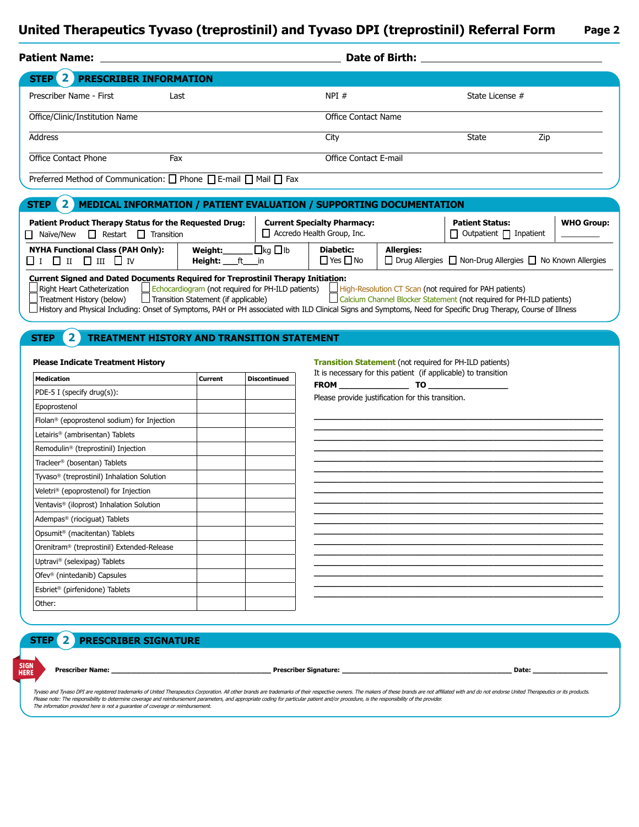| <b>Patient Name:</b>                     | Date of Birth:      |                 |
|------------------------------------------|---------------------|-----------------|
| STEP <sup>2</sup> PRESCRIBER INFORMATION |                     |                 |
| Prescriber Name - First<br>Last          | NPI#                | State License # |
| Office/Clinic/Institution Name           | Office Contact Name |                 |

City

Office Contact E-mail

Address

Office Contact Phone

Preferred Method of Communication:  $\Box$  Phone  $\Box$  E-mail  $\Box$  Mail  $\Box$  Fax

Fax

#### **STEP** 2 **MEDICAL INFORMATION / PATIENT EVALUATION / SUPPORTING DOCUMENTATION 2**

| Patient Product Therapy Status for the Requested Drug:<br>Restart<br>$\Box$ Naïve/New<br>П<br>Transition                                            |                                                                                                         |                     | <b>Current Specialty Pharmacy:</b><br>Accredo Health Group, Inc. |            | <b>Patient Status:</b><br>$\Box$ Outpatient $\Box$ Inpatient                                                                           | <b>WHO Group:</b> |
|-----------------------------------------------------------------------------------------------------------------------------------------------------|---------------------------------------------------------------------------------------------------------|---------------------|------------------------------------------------------------------|------------|----------------------------------------------------------------------------------------------------------------------------------------|-------------------|
| <b>NYHA Functional Class (PAH Only):</b><br>$\Box$ $I$ $\Box$ $II$ $\Box$ $IV$                                                                      | Weiaht:<br><b>Height:</b> ft in                                                                         | $\Box$ kg $\Box$ lb | <b>Diabetic:</b><br>$\Box$ Yes $\Box$ No                         | Allergies: | $\Box$ Drug Allergies $\Box$ Non-Drug Allergies $\Box$ No Known Allergies                                                              |                   |
| <b>Current Signed and Dated Documents Required for Treprostinil Therapy Initiation:</b><br>Right Heart Catheterization<br>Treatment History (below) | $\Box$ Echocardiogram (not required for PH-ILD patients)<br>$\Box$ Transition Statement (if applicable) |                     |                                                                  |            | $\Box$ High-Resolution CT Scan (not required for PAH patients)<br>Calcium Channel Blocker Statement (not required for PH-ILD patients) |                   |

History and Physical Including: Onset of Symptoms, PAH or PH associated with ILD Clinical Signs and Symptoms, Need for Specific Drug Therapy, Course of Illness

## **STEP TREATMENT HISTORY AND TRANSITION STATEMENT 2**

| <b>Medication</b>                                       | Current | <b>Discontinued</b> |
|---------------------------------------------------------|---------|---------------------|
| PDE-5 I (specify drug(s)):                              |         |                     |
| Epoprostenol                                            |         |                     |
| Flolan <sup>®</sup> (epoprostenol sodium) for Injection |         |                     |
| Letairis <sup>®</sup> (ambrisentan) Tablets             |         |                     |
| Remodulin <sup>®</sup> (treprostinil) Injection         |         |                     |
| Tracleer® (bosentan) Tablets                            |         |                     |
| Tyvaso <sup>®</sup> (treprostinil) Inhalation Solution  |         |                     |
| Veletri <sup>®</sup> (epoprostenol) for Injection       |         |                     |
| Ventavis <sup>®</sup> (iloprost) Inhalation Solution    |         |                     |
| Adempas <sup>®</sup> (riociguat) Tablets                |         |                     |
| Opsumit <sup>®</sup> (macitentan) Tablets               |         |                     |
| Orenitram <sup>®</sup> (treprostinil) Extended-Release  |         |                     |
| Uptravi® (selexipag) Tablets                            |         |                     |
| Ofev <sup>®</sup> (nintedanib) Capsules                 |         |                     |
| Esbriet <sup>®</sup> (pirfenidone) Tablets              |         |                     |
| Other:                                                  |         |                     |

### **Please Indicate Treatment History <b>Transition Statement** (not required for PH-ILD patients) It is necessary for this patient  $(if$  applicable) to transition

|             | It is necessary for this patient (if applicable) to transition |
|-------------|----------------------------------------------------------------|
| <b>FROM</b> | TO                                                             |
|             |                                                                |

**\_\_\_\_\_\_\_\_\_\_\_\_\_\_\_\_\_\_\_\_\_\_\_\_\_\_\_\_\_\_\_\_\_\_\_\_\_\_\_\_\_\_\_\_\_\_\_\_\_\_\_\_\_\_\_\_\_\_ \_\_\_\_\_\_\_\_\_\_\_\_\_\_\_\_\_\_\_\_\_\_\_\_\_\_\_\_\_\_\_\_\_\_\_\_\_\_\_\_\_\_\_\_\_\_\_\_\_\_\_\_\_\_\_\_\_\_ \_\_\_\_\_\_\_\_\_\_\_\_\_\_\_\_\_\_\_\_\_\_\_\_\_\_\_\_\_\_\_\_\_\_\_\_\_\_\_\_\_\_\_\_\_\_\_\_\_\_\_\_\_\_\_\_\_\_ \_\_\_\_\_\_\_\_\_\_\_\_\_\_\_\_\_\_\_\_\_\_\_\_\_\_\_\_\_\_\_\_\_\_\_\_\_\_\_\_\_\_\_\_\_\_\_\_\_\_\_\_\_\_\_\_\_\_ \_\_\_\_\_\_\_\_\_\_\_\_\_\_\_\_\_\_\_\_\_\_\_\_\_\_\_\_\_\_\_\_\_\_\_\_\_\_\_\_\_\_\_\_\_\_\_\_\_\_\_\_\_\_\_\_\_\_ \_\_\_\_\_\_\_\_\_\_\_\_\_\_\_\_\_\_\_\_\_\_\_\_\_\_\_\_\_\_\_\_\_\_\_\_\_\_\_\_\_\_\_\_\_\_\_\_\_\_\_\_\_\_\_\_\_\_ \_\_\_\_\_\_\_\_\_\_\_\_\_\_\_\_\_\_\_\_\_\_\_\_\_\_\_\_\_\_\_\_\_\_\_\_\_\_\_\_\_\_\_\_\_\_\_\_\_\_\_\_\_\_\_\_\_\_ \_\_\_\_\_\_\_\_\_\_\_\_\_\_\_\_\_\_\_\_\_\_\_\_\_\_\_\_\_\_\_\_\_\_\_\_\_\_\_\_\_\_\_\_\_\_\_\_\_\_\_\_\_\_\_\_\_\_ \_\_\_\_\_\_\_\_\_\_\_\_\_\_\_\_\_\_\_\_\_\_\_\_\_\_\_\_\_\_\_\_\_\_\_\_\_\_\_\_\_\_\_\_\_\_\_\_\_\_\_\_\_\_\_\_\_\_ \_\_\_\_\_\_\_\_\_\_\_\_\_\_\_\_\_\_\_\_\_\_\_\_\_\_\_\_\_\_\_\_\_\_\_\_\_\_\_\_\_\_\_\_\_\_\_\_\_\_\_\_\_\_\_\_\_\_ \_\_\_\_\_\_\_\_\_\_\_\_\_\_\_\_\_\_\_\_\_\_\_\_\_\_\_\_\_\_\_\_\_\_\_\_\_\_\_\_\_\_\_\_\_\_\_\_\_\_\_\_\_\_\_\_\_\_ \_\_\_\_\_\_\_\_\_\_\_\_\_\_\_\_\_\_\_\_\_\_\_\_\_\_\_\_\_\_\_\_\_\_\_\_\_\_\_\_\_\_\_\_\_\_\_\_\_\_\_\_\_\_\_\_\_\_ \_\_\_\_\_\_\_\_\_\_\_\_\_\_\_\_\_\_\_\_\_\_\_\_\_\_\_\_\_\_\_\_\_\_\_\_\_\_\_\_\_\_\_\_\_\_\_\_\_\_\_\_\_\_\_\_\_\_ \_\_\_\_\_\_\_\_\_\_\_\_\_\_\_\_\_\_\_\_\_\_\_\_\_\_\_\_\_\_\_\_\_\_\_\_\_\_\_\_\_\_\_\_\_\_\_\_\_\_\_\_\_\_\_\_\_\_ \_\_\_\_\_\_\_\_\_\_\_\_\_\_\_\_\_\_\_\_\_\_\_\_\_\_\_\_\_\_\_\_\_\_\_\_\_\_\_\_\_\_\_\_\_\_\_\_\_\_\_\_\_\_\_\_\_\_ \_\_\_\_\_\_\_\_\_\_\_\_\_\_\_\_\_\_\_\_\_\_\_\_\_\_\_\_\_\_\_\_\_\_\_\_\_\_\_\_\_\_\_\_\_\_\_\_\_\_\_\_\_\_\_\_\_\_ \_\_\_\_\_\_\_\_\_\_\_\_\_\_\_\_\_\_\_\_\_\_\_\_\_\_\_\_\_\_\_\_\_\_\_\_\_\_\_\_\_\_\_\_\_\_\_\_\_\_\_\_\_\_\_\_\_\_ \_\_\_\_\_\_\_\_\_\_\_\_\_\_\_\_\_\_\_\_\_\_\_\_\_\_\_\_\_\_\_\_\_\_\_\_\_\_\_\_\_\_\_\_\_\_\_\_\_\_\_\_\_\_\_\_\_\_**

Please provide justification for this transition.

**PRESCRIBER SIGNATURE STEP 2**

SIGN HERE

**Prescriber Name: \_\_\_\_\_\_\_\_\_\_\_\_\_\_\_\_\_\_\_\_\_\_\_\_\_\_\_\_\_\_\_\_ Prescriber Signature: \_\_\_\_\_\_\_\_\_\_\_\_\_\_\_\_\_\_\_\_\_\_\_\_\_\_\_\_\_\_\_\_\_\_ Date: \_\_\_\_\_\_\_\_\_\_\_\_\_\_\_**

State  $\overline{|\bullet|}$  Zip

Tyvaso and Tyvaso DPI are registered trademarks of United Therapeutics Corporation. All other brands are trademarks of their respective owners. The makers of these brands are not affiliated with and do not endorse United T Please note: The responsibility to determine coverage and reimbursement parameters, and appropriate coding for particular patient and/or procedure, is the responsibility of the provider. The information provided here is not a guarantee of coverage or reimbursement.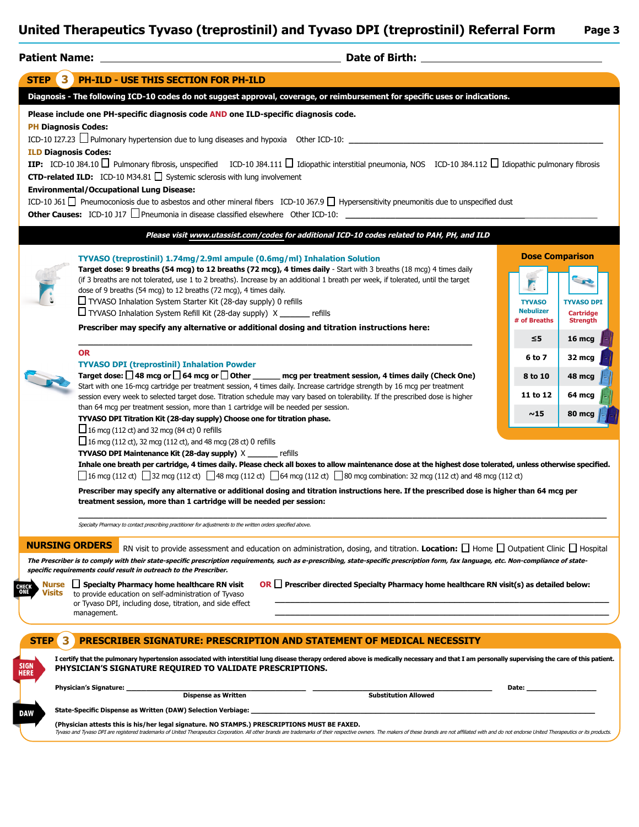| UMICU TRODUCIUS TYVASU (UCPROSUMI) ANU TYVASU DFI (UCPROSUMI) KCICHARTUMI<br>rayc J                                                                                        |  |  |  |
|----------------------------------------------------------------------------------------------------------------------------------------------------------------------------|--|--|--|
|                                                                                                                                                                            |  |  |  |
| STEP 3 PH-ILD - USE THIS SECTION FOR PH-ILD                                                                                                                                |  |  |  |
| Diagnosis - The following ICD-10 codes do not suggest approval, coverage, or reimbursement for specific uses or indications.                                               |  |  |  |
| Please include one PH-specific diagnosis code AND one ILD-specific diagnosis code.                                                                                         |  |  |  |
| <b>PH Diagnosis Codes:</b>                                                                                                                                                 |  |  |  |
| ICD-10 I27.23 Pulmonary hypertension due to lung diseases and hypoxia Other ICD-10:                                                                                        |  |  |  |
| <b>ILD Diagnosis Codes:</b>                                                                                                                                                |  |  |  |
| IIP: ICD-10 J84.10 $\Box$ Pulmonary fibrosis, unspecified ICD-10 J84.111 $\Box$ Idiopathic interstitial pneumonia, NOS ICD-10 J84.112 $\Box$ Idiopathic pulmonary fibrosis |  |  |  |
| <b>CTD-related ILD:</b> ICD-10 M34.81 $\Box$ Systemic sclerosis with lung involvement                                                                                      |  |  |  |
| <b>Environmental/Occupational Lung Disease:</b>                                                                                                                            |  |  |  |
| ICD-10 J61 $\Box$ Pneumoconiosis due to asbestos and other mineral fibers ICD-10 J67.9 $\Box$ Hypersensitivity pneumonitis due to unspecified dust                         |  |  |  |
| <b>Other Causes:</b> ICD-10 J17 $\Box$ Pneumonia in disease classified elsewhere Other ICD-10:                                                                             |  |  |  |
| Please visit www.utassist.com/codes for additional ICD-10 codes related to PAH, PH, and ILD                                                                                |  |  |  |

**Prescriber may specify any alternative or additional dosing and titration instructions here: \_\_\_\_\_\_\_\_\_\_\_\_\_\_\_\_\_\_\_\_\_\_\_\_\_\_\_\_\_\_\_\_\_\_\_\_\_\_\_\_\_\_\_\_\_\_\_\_\_\_\_\_\_\_\_\_\_\_\_\_\_\_\_\_\_\_\_\_\_\_\_\_\_\_\_\_\_\_\_ OR TYVASO DPI (treprostinil) Inhalation Powder** Target dose: **□ 48 mcg or □ 64 mcg or □ Other \_\_\_\_\_\_** mcg per treatment session, 4 times daily (Check One) Start with one 16-mcg cartridge per treatment session, 4 times daily. Increase cartridge strength by 16 mcg per treatment session every week to selected target dose. Titration schedule may vary based on tolerability. If the prescribed dose is higher

**Target dose: 9 breaths (54 mcg) to 12 breaths (72 mcg), 4 times daily** - Start with 3 breaths (18 mcg) 4 times daily (if 3 breaths are not tolerated, use 1 to 2 breaths). Increase by an additional 1 breath per week, if tolerated, until the target

**TYVASO (treprostinil) 1.74mg/2.9ml ampule (0.6mg/ml) Inhalation Solution** 

E **TYVASO TYVASO DPI Nebulizer Cartridge # of Breaths Strength ≤5 16 mcg 6 to 7 32 mcg 8 to 10 48 mcg 11 to 12 64 mcg ~15 80 mcg**

**Dose Comparison**

**TYVASO DPI Titration Kit (28-day supply) Choose one for titration phase.**  $\Box$  16 mcg (112 ct) and 32 mcg (84 ct) 0 refills

■ 16 mcg (112 ct), 32 mcg (112 ct), and 48 mcg (28 ct) 0 refills

dose of 9 breaths (54 mcg) to 12 breaths (72 mcg), 4 times daily.  $\Box$  TYVASO Inhalation System Starter Kit (28-day supply) 0 refills TYVASO Inhalation System Refill Kit (28-day supply) X **\_\_\_\_\_\_** refills

**TYVASO DPI Maintenance Kit (28-day supply)** X **\_\_\_\_\_\_** refills

than 64 mcg per treatment session, more than 1 cartridge will be needed per session.

**Inhale one breath per cartridge, 4 times daily. Please check all boxes to allow maintenance dose at the highest dose tolerated, unless otherwise specified.**   $\Box$  16 mcg (112 ct)  $\Box$  32 mcg (112 ct)  $\Box$  48 mcg (112 ct)  $\Box$  64 mcg (112 ct)  $\Box$  80 mcg combination: 32 mcg (112 ct) and 48 mcg (112 ct)

**\_\_\_\_\_\_\_\_\_\_\_\_\_\_\_\_\_\_\_\_\_\_\_\_\_\_\_\_\_\_\_\_\_\_\_\_\_\_\_\_\_\_\_\_\_\_\_\_\_\_\_\_\_\_\_\_\_\_\_\_\_\_\_\_\_\_\_\_\_\_\_\_\_\_\_\_\_\_\_\_\_\_\_\_\_\_\_\_\_\_\_\_\_\_\_\_\_\_\_\_\_\_\_\_\_\_**

RN visit to provide assessment and education on administration, dosing, and titration. **Location:** Home Outpatient Clinic Hospital

**Prescriber may specify any alternative or additional dosing and titration instructions here. If the prescribed dose is higher than 64 mcg per treatment session, more than 1 cartridge will be needed per session:**

Specialty Pharmacy to contact prescribing practitioner for adjustments to the written orders specified above.

### **NURSING ORDERS**

**The Prescriber is to comply with their state-specific prescription requirements, such as e-prescribing, state-specific prescription form, fax language, etc. Non-compliance of statespecific requirements could result in outreach to the Prescriber.**

**Visits CHECK** 

**Specialty Pharmacy home healthcare RN visit Nurse**  to provide education on self-administration of Tyvaso or Tyvaso DPI, including dose, titration, and side effect management.

**Prescriber directed Specialty Pharmacy home healthcare RN visit(s) as detailed below: OR**

**\_\_\_\_\_\_\_\_\_\_\_\_\_\_\_\_\_\_\_\_\_\_\_\_\_\_\_\_\_\_\_\_\_\_\_\_\_\_\_\_\_\_\_\_\_\_\_\_\_\_\_\_\_\_\_\_\_\_\_\_\_\_\_\_\_\_\_ \_\_\_\_\_\_\_\_\_\_\_\_\_\_\_\_\_\_\_\_\_\_\_\_\_\_\_\_\_\_\_\_\_\_\_\_\_\_\_\_\_\_\_\_\_\_\_\_\_\_\_\_\_\_\_\_\_\_\_\_\_\_\_\_\_\_\_**

### **I certify that the pulmonary hypertension associated with interstitial lung disease therapy ordered above is medically necessary and that I am personally supervising the care of this patient. PHYSICIAN'S SIGNATURE REQUIRED TO VALIDATE PRESCRIPTIONS. PRESCRIBER SIGNATURE: PRESCRIPTION AND STATEMENT OF MEDICAL NECESSITY (Physician attests this is his/her legal signature. NO STAMPS.) PRESCRIPTIONS MUST BE FAXED.** Tyvaso and Tyvaso DPI are registered trademarks of United Therapeutics Corporation. All other brands are trademarks of their respective owners. The makers of these brands are not affiliated with and do not endorse United T **State-Specific Dispense as Written (DAW) Selection Verbiage: \_\_\_\_\_\_\_\_\_\_\_\_\_\_\_\_\_\_\_\_\_\_\_\_\_\_\_\_\_\_\_\_\_\_\_\_\_\_\_\_\_\_\_\_\_\_\_\_\_\_\_\_\_\_\_\_\_\_\_\_\_\_\_\_\_\_\_\_\_ STEP 3 Physician's Signature: \_\_\_\_\_\_\_\_\_\_\_\_\_\_\_\_\_\_\_\_\_\_\_\_\_\_\_\_\_\_\_\_\_\_\_\_ \_\_\_\_\_\_\_\_\_\_\_\_\_\_\_\_\_\_\_\_\_\_\_\_\_\_\_\_\_\_\_\_\_\_\_\_ Date: \_\_\_\_\_\_\_\_\_\_\_\_\_\_ Substitution Allowed** SIGN HERE **DAW**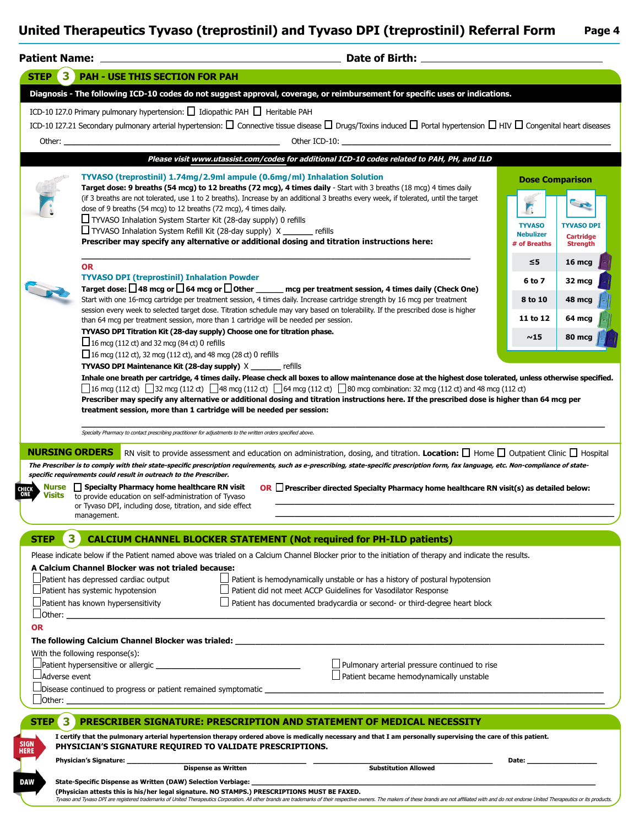|                                                     | <b>Patient Name:</b>                                                                                                                                                                                                                                                                                                                                                                                                                                                                                                                                                                                                                                                                          |                                                   |                                                                                                                                               |
|-----------------------------------------------------|-----------------------------------------------------------------------------------------------------------------------------------------------------------------------------------------------------------------------------------------------------------------------------------------------------------------------------------------------------------------------------------------------------------------------------------------------------------------------------------------------------------------------------------------------------------------------------------------------------------------------------------------------------------------------------------------------|---------------------------------------------------|-----------------------------------------------------------------------------------------------------------------------------------------------|
| 3<br><b>STEP</b>                                    | <b>PAH - USE THIS SECTION FOR PAH</b>                                                                                                                                                                                                                                                                                                                                                                                                                                                                                                                                                                                                                                                         |                                                   |                                                                                                                                               |
|                                                     | Diagnosis - The following ICD-10 codes do not suggest approval, coverage, or reimbursement for specific uses or indications.                                                                                                                                                                                                                                                                                                                                                                                                                                                                                                                                                                  |                                                   |                                                                                                                                               |
|                                                     | ICD-10 I27.0 Primary pulmonary hypertension: □ Idiopathic PAH □ Heritable PAH                                                                                                                                                                                                                                                                                                                                                                                                                                                                                                                                                                                                                 |                                                   |                                                                                                                                               |
|                                                     | ICD-10 I27.21 Secondary pulmonary arterial hypertension: $\square$ Connective tissue disease $\square$ Drugs/Toxins induced $\square$ Portal hypertension $\square$ HIV $\square$ Congenital heart diseases                                                                                                                                                                                                                                                                                                                                                                                                                                                                                   |                                                   |                                                                                                                                               |
| Other: _                                            | Other ICD-10:                                                                                                                                                                                                                                                                                                                                                                                                                                                                                                                                                                                                                                                                                 |                                                   |                                                                                                                                               |
|                                                     | Please visit www.utassist.com/codes for additional ICD-10 codes related to PAH, PH, and ILD                                                                                                                                                                                                                                                                                                                                                                                                                                                                                                                                                                                                   |                                                   |                                                                                                                                               |
|                                                     | TYVASO (treprostinil) 1.74mg/2.9ml ampule (0.6mg/ml) Inhalation Solution                                                                                                                                                                                                                                                                                                                                                                                                                                                                                                                                                                                                                      | <b>Dose Comparison</b>                            |                                                                                                                                               |
|                                                     | Target dose: 9 breaths (54 mcg) to 12 breaths (72 mcg), 4 times daily - Start with 3 breaths (18 mcg) 4 times daily<br>(if 3 breaths are not tolerated, use 1 to 2 breaths). Increase by an additional 3 breaths every week, if tolerated, until the target<br>dose of 9 breaths (54 mcg) to 12 breaths (72 mcg), 4 times daily.<br>TYVASO Inhalation System Starter Kit (28-day supply) 0 refills<br>TYVASO Inhalation System Refill Kit (28-day supply) X _______ refills<br>Prescriber may specify any alternative or additional dosing and titration instructions here:                                                                                                                   | <b>TYVASO</b><br><b>Nebulizer</b><br># of Breaths | <b>TYVASO DPI</b><br><b>Cartridge</b><br><b>Strength</b>                                                                                      |
|                                                     | <b>OR</b><br><b>TYVASO DPI (treprostinil) Inhalation Powder</b>                                                                                                                                                                                                                                                                                                                                                                                                                                                                                                                                                                                                                               | ≤5                                                | 16 mcg                                                                                                                                        |
|                                                     | Target dose: $\Box$ 48 mcg or $\Box$ 64 mcg or $\Box$ Other ______ mcg per treatment session, 4 times daily (Check One)<br>Start with one 16-mcg cartridge per treatment session, 4 times daily. Increase cartridge strength by 16 mcg per treatment                                                                                                                                                                                                                                                                                                                                                                                                                                          | 6 to 7<br>8 to 10                                 | 32 mcg<br>48 mcg                                                                                                                              |
|                                                     | session every week to selected target dose. Titration schedule may vary based on tolerability. If the prescribed dose is higher<br>than 64 mcg per treatment session, more than 1 cartridge will be needed per session.                                                                                                                                                                                                                                                                                                                                                                                                                                                                       | 11 to 12                                          | 64 mcg                                                                                                                                        |
|                                                     | TYVASO DPI Titration Kit (28-day supply) Choose one for titration phase.<br>$\Box$ 16 mcg (112 ct) and 32 mcg (84 ct) 0 refills                                                                                                                                                                                                                                                                                                                                                                                                                                                                                                                                                               | ~15                                               | 80 mca                                                                                                                                        |
|                                                     | 16 mcg (112 ct), 32 mcg (112 ct), and 48 mcg (28 ct) 0 refills                                                                                                                                                                                                                                                                                                                                                                                                                                                                                                                                                                                                                                |                                                   |                                                                                                                                               |
|                                                     | TYVASO DPI Maintenance Kit (28-day supply) X _______ refills                                                                                                                                                                                                                                                                                                                                                                                                                                                                                                                                                                                                                                  |                                                   |                                                                                                                                               |
|                                                     |                                                                                                                                                                                                                                                                                                                                                                                                                                                                                                                                                                                                                                                                                               |                                                   | Prescriber may specify any alternative or additional dosing and titration instructions here. If the prescribed dose is higher than 64 mcg per |
|                                                     | treatment session, more than 1 cartridge will be needed per session:<br>Specialty Pharmacy to contact prescribing practitioner for adjustments to the written orders specified above.                                                                                                                                                                                                                                                                                                                                                                                                                                                                                                         |                                                   |                                                                                                                                               |
| <b>Nurse</b><br><b>Visits</b>                       | RN visit to provide assessment and education on administration, dosing, and titration. Location: I Home I Outpatient Clinic I Hospital<br>The Prescriber is to comply with their state-specific prescription requirements, such as e-prescribing, state-specific prescription form, fax language, etc. Non-compliance of state-<br>specific requirements could result in outreach to the Prescriber.<br>  Specialty Pharmacy home healthcare RN visit<br>OR $\Box$ Prescriber directed Specialty Pharmacy home healthcare RN visit(s) as detailed below:<br>to provide education on self-administration of Tyvaso<br>or Tyvaso DPI, including dose, titration, and side effect<br>management. |                                                   |                                                                                                                                               |
| 3                                                   |                                                                                                                                                                                                                                                                                                                                                                                                                                                                                                                                                                                                                                                                                               |                                                   |                                                                                                                                               |
| STEP                                                | <b>CALCIUM CHANNEL BLOCKER STATEMENT (Not required for PH-ILD patients)</b><br>Please indicate below if the Patient named above was trialed on a Calcium Channel Blocker prior to the initiation of therapy and indicate the results.                                                                                                                                                                                                                                                                                                                                                                                                                                                         |                                                   |                                                                                                                                               |
|                                                     | A Calcium Channel Blocker was not trialed because:<br>Patient is hemodynamically unstable or has a history of postural hypotension<br>Patient has depressed cardiac output<br>Patient did not meet ACCP Guidelines for Vasodilator Response<br>Patient has systemic hypotension<br>Patient has known hypersensitivity<br>Patient has documented bradycardia or second- or third-degree heart block                                                                                                                                                                                                                                                                                            |                                                   |                                                                                                                                               |
|                                                     |                                                                                                                                                                                                                                                                                                                                                                                                                                                                                                                                                                                                                                                                                               |                                                   |                                                                                                                                               |
|                                                     | The following Calcium Channel Blocker was trialed: _____________________________                                                                                                                                                                                                                                                                                                                                                                                                                                                                                                                                                                                                              |                                                   |                                                                                                                                               |
|                                                     | With the following response(s):                                                                                                                                                                                                                                                                                                                                                                                                                                                                                                                                                                                                                                                               |                                                   |                                                                                                                                               |
| <b>OR</b><br>Adverse event                          | Pulmonary arterial pressure continued to rise<br>Patient became hemodynamically unstable                                                                                                                                                                                                                                                                                                                                                                                                                                                                                                                                                                                                      |                                                   |                                                                                                                                               |
|                                                     | Disease continued to progress or patient remained symptomatic                                                                                                                                                                                                                                                                                                                                                                                                                                                                                                                                                                                                                                 |                                                   |                                                                                                                                               |
| Other:                                              |                                                                                                                                                                                                                                                                                                                                                                                                                                                                                                                                                                                                                                                                                               |                                                   |                                                                                                                                               |
| 3<br><b>STEP</b>                                    | PRESCRIBER SIGNATURE: PRESCRIPTION AND STATEMENT OF MEDICAL NECESSITY                                                                                                                                                                                                                                                                                                                                                                                                                                                                                                                                                                                                                         |                                                   |                                                                                                                                               |
| <b>NURSING ORDERS</b><br><b>SIGN</b><br><b>HERE</b> | I certify that the pulmonary arterial hypertension therapy ordered above is medically necessary and that I am personally supervising the care of this patient.<br>PHYSICIAN'S SIGNATURE REQUIRED TO VALIDATE PRESCRIPTIONS.                                                                                                                                                                                                                                                                                                                                                                                                                                                                   |                                                   |                                                                                                                                               |
|                                                     | Physician's Signature: ______________<br><b>Dispense as Written</b><br><b>Substitution Allowed</b>                                                                                                                                                                                                                                                                                                                                                                                                                                                                                                                                                                                            | Date:                                             |                                                                                                                                               |

**(Physician attests this is his/her legal signature. NO STAMPS.) PRESCRIPTIONS MUST BE FAXED.**

Tyvaso and Tyvaso DPI are registered trademarks of United Therapeutics Corporation. All other brands are trademarks of their respective owners. The makers of these brands are not affiliated with and do not endorse United T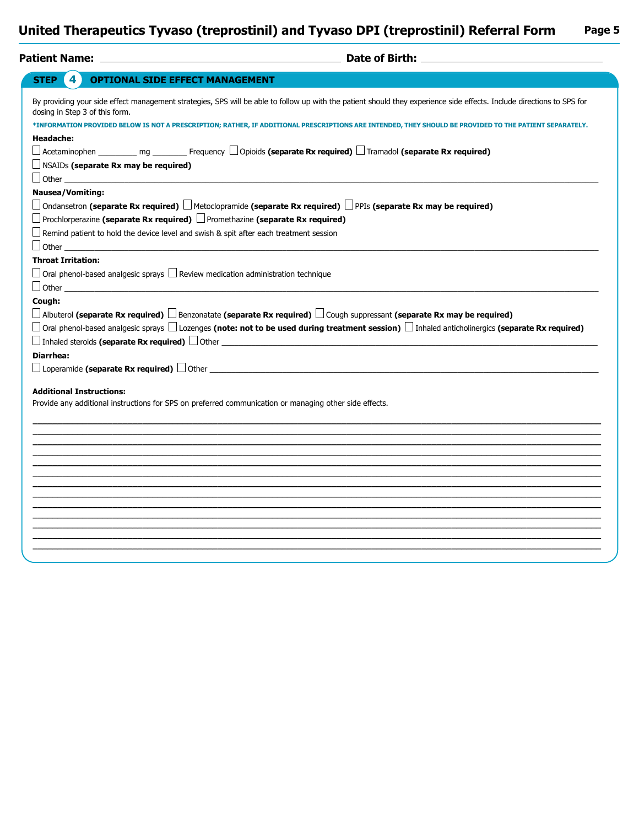| 4<br><b>OPTIONAL SIDE EFFECT MANAGEMENT</b><br><b>STEP</b>                                   |                                                                                                                                                                                                                                                                                                                                   |
|----------------------------------------------------------------------------------------------|-----------------------------------------------------------------------------------------------------------------------------------------------------------------------------------------------------------------------------------------------------------------------------------------------------------------------------------|
| dosing in Step 3 of this form.                                                               | By providing your side effect management strategies, SPS will be able to follow up with the patient should they experience side effects. Include directions to SPS for<br>*INFORMATION PROVIDED BELOW IS NOT A PRESCRIPTION; RATHER, IF ADDITIONAL PRESCRIPTIONS ARE INTENDED, THEY SHOULD BE PROVIDED TO THE PATIENT SEPARATELY. |
| <b>Headache:</b>                                                                             | $\Box$ Acetaminophen __________ mg _________ Frequency $\Box$ Opioids (separate Rx required) $\Box$ Tramadol (separate Rx required)                                                                                                                                                                                               |
| $\Box$ NSAIDs (separate Rx may be required)                                                  |                                                                                                                                                                                                                                                                                                                                   |
| $\Box$ Other<br><b>Nausea/Vomiting:</b>                                                      |                                                                                                                                                                                                                                                                                                                                   |
|                                                                                              | □ Ondansetron (separate Rx required) □ Metoclopramide (separate Rx required) □ PPIs (separate Rx may be required)                                                                                                                                                                                                                 |
| $\Box$ Prochlorperazine (separate Rx required) $\Box$ Promethazine (separate Rx required)    |                                                                                                                                                                                                                                                                                                                                   |
| Remind patient to hold the device level and swish & spit after each treatment session        |                                                                                                                                                                                                                                                                                                                                   |
| $\perp$ Other $\perp$                                                                        |                                                                                                                                                                                                                                                                                                                                   |
| <b>Throat Irritation:</b>                                                                    |                                                                                                                                                                                                                                                                                                                                   |
| $\perp$ Oral phenol-based analgesic sprays $\Box$ Review medication administration technique |                                                                                                                                                                                                                                                                                                                                   |
| $\Box$ Other $\Box$                                                                          |                                                                                                                                                                                                                                                                                                                                   |
| Cough:                                                                                       |                                                                                                                                                                                                                                                                                                                                   |
|                                                                                              | $\Box$ Albuterol (separate Rx required) $\Box$ Benzonatate (separate Rx required) $\Box$ Cough suppressant (separate Rx may be required)                                                                                                                                                                                          |
|                                                                                              | $\Box$ Oral phenol-based analgesic sprays $\Box$ Lozenges (note: not to be used during treatment session) $\Box$ Inhaled anticholinergics (separate Rx required)                                                                                                                                                                  |
|                                                                                              | $\Box$ Inhaled steroids (separate Rx required) $\Box$ Other $\Box$                                                                                                                                                                                                                                                                |
| <b>Diarrhea:</b>                                                                             |                                                                                                                                                                                                                                                                                                                                   |
|                                                                                              | $\Box$ Loperamide (separate Rx required) $\Box$ Other $\Box$ and $\Box$ and $\Box$ and $\Box$ and $\Box$ and $\Box$ and $\Box$ and $\Box$ and $\Box$ and $\Box$ and $\Box$ and $\Box$ and $\Box$ and $\Box$ and $\Box$ and $\Box$ and $\Box$ and $\Box$ and $\Box$ and                                                            |
| <b>Additional Instructions:</b>                                                              |                                                                                                                                                                                                                                                                                                                                   |
|                                                                                              | Provide any additional instructions for SPS on preferred communication or managing other side effects.                                                                                                                                                                                                                            |
|                                                                                              |                                                                                                                                                                                                                                                                                                                                   |
|                                                                                              |                                                                                                                                                                                                                                                                                                                                   |
|                                                                                              |                                                                                                                                                                                                                                                                                                                                   |
|                                                                                              |                                                                                                                                                                                                                                                                                                                                   |
|                                                                                              |                                                                                                                                                                                                                                                                                                                                   |
|                                                                                              |                                                                                                                                                                                                                                                                                                                                   |
|                                                                                              |                                                                                                                                                                                                                                                                                                                                   |
|                                                                                              |                                                                                                                                                                                                                                                                                                                                   |
|                                                                                              |                                                                                                                                                                                                                                                                                                                                   |
|                                                                                              |                                                                                                                                                                                                                                                                                                                                   |
|                                                                                              |                                                                                                                                                                                                                                                                                                                                   |